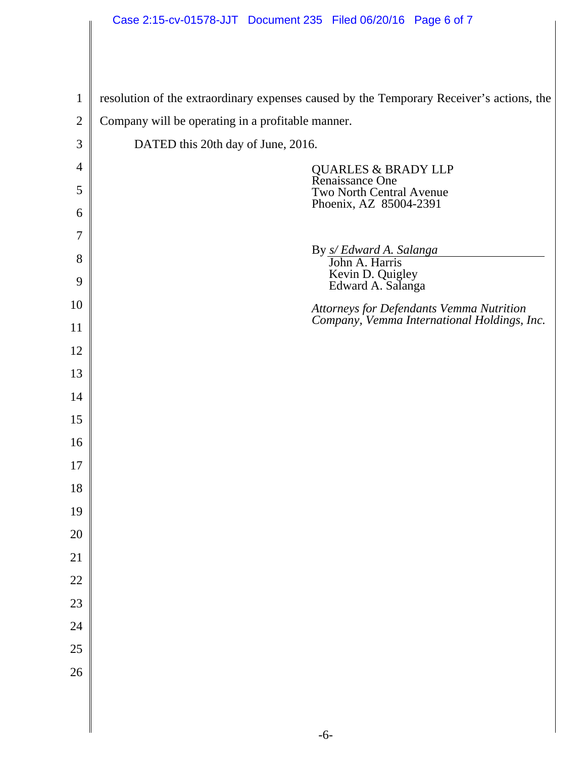|                | Case 2:15-cv-01578-JJT Document 235 Filed 06/20/16 Page 6 of 7                           |
|----------------|------------------------------------------------------------------------------------------|
|                |                                                                                          |
|                |                                                                                          |
| $\mathbf{1}$   | resolution of the extraordinary expenses caused by the Temporary Receiver's actions, the |
| $\overline{2}$ | Company will be operating in a profitable manner.                                        |
| 3              | DATED this 20th day of June, 2016.                                                       |
| 4              | <b>QUARLES &amp; BRADY LLP</b>                                                           |
| 5              | Renaissance One<br>Two North Central Avenue                                              |
| 6              | Phoenix, AZ 85004-2391                                                                   |
| 7              |                                                                                          |
| 8              | By <i>s/ Edward A. Salanga</i><br>John A. Harris                                         |
| 9              | Kevin D. Quigley<br>Edward A. Salanga                                                    |
| 10             | Attorneys for Defendants Vemma Nutrition<br>Company, Vemma International Holdings, Inc.  |
| 11             |                                                                                          |
| 12             |                                                                                          |
| 13             |                                                                                          |
| 14             |                                                                                          |
| 15             |                                                                                          |
| 16             |                                                                                          |
| $17\,$         |                                                                                          |
| 18             |                                                                                          |
| 19             |                                                                                          |
| 20             |                                                                                          |
| 21             |                                                                                          |
| $22\,$         |                                                                                          |
| 23             |                                                                                          |
| 24             |                                                                                          |
| 25             |                                                                                          |
| 26             |                                                                                          |
|                |                                                                                          |

∥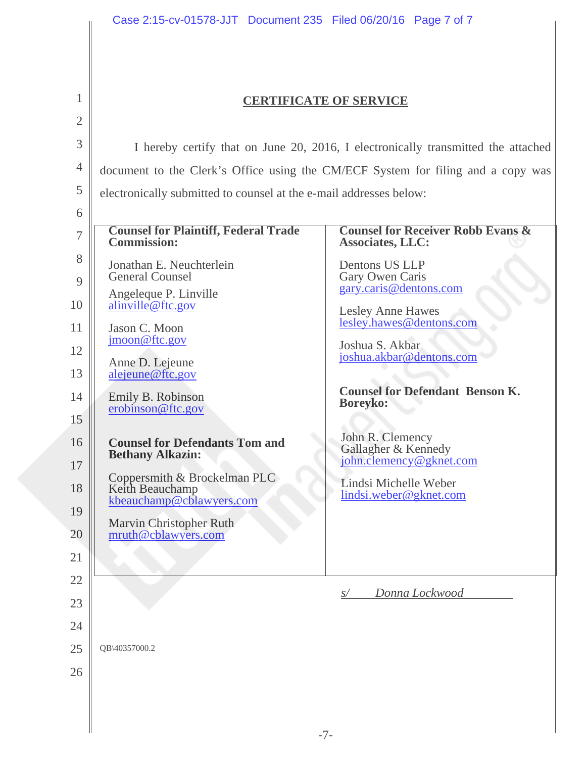|                | Case 2:15-cv-01578-JJT  Document 235  Filed 06/20/16  Page 7 of 7                 |                                                                         |  |  |  |  |  |  |  |  |  |  |  |  |
|----------------|-----------------------------------------------------------------------------------|-------------------------------------------------------------------------|--|--|--|--|--|--|--|--|--|--|--|--|
|                |                                                                                   |                                                                         |  |  |  |  |  |  |  |  |  |  |  |  |
| 1              | <b>CERTIFICATE OF SERVICE</b>                                                     |                                                                         |  |  |  |  |  |  |  |  |  |  |  |  |
| $\overline{2}$ |                                                                                   |                                                                         |  |  |  |  |  |  |  |  |  |  |  |  |
| 3              | I hereby certify that on June 20, 2016, I electronically transmitted the attached |                                                                         |  |  |  |  |  |  |  |  |  |  |  |  |
| 4              | document to the Clerk's Office using the CM/ECF System for filing and a copy was  |                                                                         |  |  |  |  |  |  |  |  |  |  |  |  |
| 5              | electronically submitted to counsel at the e-mail addresses below:                |                                                                         |  |  |  |  |  |  |  |  |  |  |  |  |
| 6              |                                                                                   |                                                                         |  |  |  |  |  |  |  |  |  |  |  |  |
| 7              | <b>Counsel for Plaintiff, Federal Trade</b><br><b>Commission:</b>                 | <b>Counsel for Receiver Robb Evans &amp;</b><br><b>Associates, LLC:</b> |  |  |  |  |  |  |  |  |  |  |  |  |
| 8              | Jonathan E. Neuchterlein<br><b>General Counsel</b>                                | Dentons US LLP                                                          |  |  |  |  |  |  |  |  |  |  |  |  |
| 9              | Angeleque P. Linville                                                             | Gary Owen Caris<br>gary.caris@dentons.com                               |  |  |  |  |  |  |  |  |  |  |  |  |
| 10             | alinville@ftc.gov                                                                 | <b>Lesley Anne Hawes</b>                                                |  |  |  |  |  |  |  |  |  |  |  |  |
| 11             | Jason C. Moon<br>jmoon@ftc.gov                                                    | lesley.hawes@dentons.com<br>Joshua S. Akbar                             |  |  |  |  |  |  |  |  |  |  |  |  |
| 12             | Anne D. Lejeune                                                                   | joshua.akbar@dentons.com                                                |  |  |  |  |  |  |  |  |  |  |  |  |
| 13             | alejeune@ftc.gov                                                                  |                                                                         |  |  |  |  |  |  |  |  |  |  |  |  |
| 14<br>15       | Emily B. Robinson<br>erobinson@ftc.gov                                            | <b>Counsel for Defendant Benson K.</b><br><b>Boreyko:</b>               |  |  |  |  |  |  |  |  |  |  |  |  |
| 16<br>17       | <b>Counsel for Defendants Tom and</b><br><b>Bethany Alkazin:</b>                  | John R. Clemency<br>Gallagher & Kennedy<br>john.clemency@gknet.com      |  |  |  |  |  |  |  |  |  |  |  |  |
| 18             | Coppersmith & Brockelman PLC<br>Keith Beauchamp<br>kbeauchamp@cblawyers.com       | Lindsi Michelle Weber<br>lindsi.weber@gknet.com                         |  |  |  |  |  |  |  |  |  |  |  |  |
| 19<br>20       | <b>Marvin Christopher Ruth</b><br>mruth@cblawyers.com                             |                                                                         |  |  |  |  |  |  |  |  |  |  |  |  |
| 21             |                                                                                   |                                                                         |  |  |  |  |  |  |  |  |  |  |  |  |
| 22             |                                                                                   |                                                                         |  |  |  |  |  |  |  |  |  |  |  |  |
| 23             |                                                                                   | Donna Lockwood<br>S/                                                    |  |  |  |  |  |  |  |  |  |  |  |  |
| 24             |                                                                                   |                                                                         |  |  |  |  |  |  |  |  |  |  |  |  |
| 25             | QB\40357000.2                                                                     |                                                                         |  |  |  |  |  |  |  |  |  |  |  |  |
| 26             |                                                                                   |                                                                         |  |  |  |  |  |  |  |  |  |  |  |  |
|                |                                                                                   |                                                                         |  |  |  |  |  |  |  |  |  |  |  |  |
|                |                                                                                   |                                                                         |  |  |  |  |  |  |  |  |  |  |  |  |
|                |                                                                                   |                                                                         |  |  |  |  |  |  |  |  |  |  |  |  |